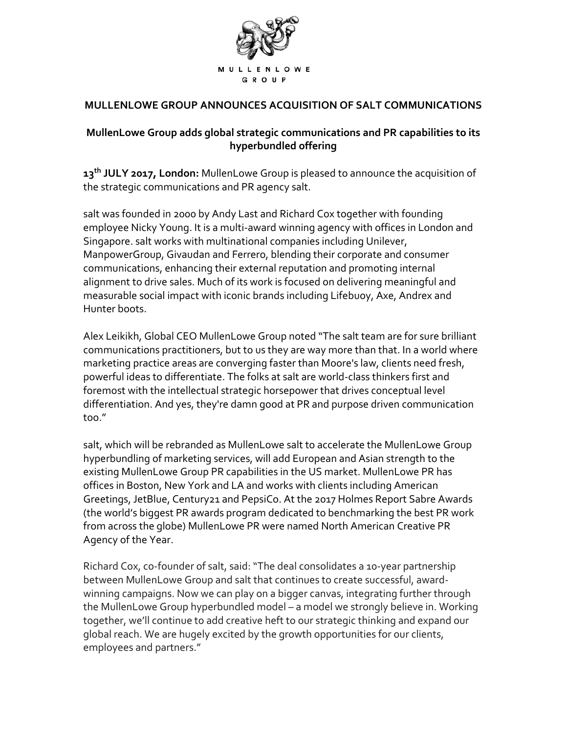

## **MULLENLOWE GROUP ANNOUNCES ACQUISITION OF SALT COMMUNICATIONS**

## **MullenLowe Group adds global strategic communications and PR capabilities to its hyperbundled offering**

**13th JULY 2017, London:** MullenLowe Group is pleased to announce the acquisition of the strategic communications and PR agency salt.

salt was founded in 2000 by Andy Last and Richard Cox together with founding employee Nicky Young. It is a multi-award winning agency with offices in London and Singapore. salt works with multinational companies including Unilever, ManpowerGroup, Givaudan and Ferrero, blending their corporate and consumer communications, enhancing their external reputation and promoting internal alignment to drive sales. Much of its work is focused on delivering meaningful and measurable social impact with iconic brands including Lifebuoy, Axe, Andrex and Hunter boots.

Alex Leikikh, Global CEO MullenLowe Group noted "The salt team are for sure brilliant communications practitioners, but to us they are way more than that. In a world where marketing practice areas are converging faster than Moore's law, clients need fresh, powerful ideas to differentiate. The folks at salt are world-class thinkers first and foremost with the intellectual strategic horsepower that drives conceptual level differentiation. And yes, they're damn good at PR and purpose driven communication too."

salt, which will be rebranded as MullenLowe salt to accelerate the MullenLowe Group hyperbundling of marketing services, will add European and Asian strength to the existing MullenLowe Group PR capabilities in the US market. MullenLowe PR has offices in Boston, New York and LA and works with clients including American Greetings, JetBlue, Century21 and PepsiCo. At the 2017 Holmes Report Sabre Awards (the world's biggest PR awards program dedicated to benchmarking the best PR work from across the globe) MullenLowe PR were named North American Creative PR Agency of the Year.

Richard Cox, co-founder of salt, said: "The deal consolidates a 10-year partnership between MullenLowe Group and salt that continues to create successful, awardwinning campaigns. Now we can play on a bigger canvas, integrating further through the MullenLowe Group hyperbundled model – a model we strongly believe in. Working together, we'll continue to add creative heft to our strategic thinking and expand our global reach. We are hugely excited by the growth opportunities for our clients, employees and partners."